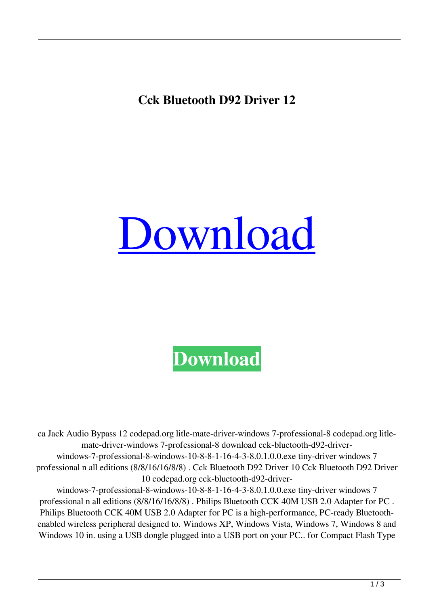**Cck Bluetooth D92 Driver 12**

## [Download](http://evacdir.com/Q2NrIEJsdWV0b290aCBEOTIgRHJpdmVyIDEyQ2N/ZG93bmxvYWR8NVhYYnpGcmZId3hOalV5TnpRd09EWTJmSHd5TlRjMGZId29UU2tnY21WaFpDMWliRzluSUZ0R1lYTjBJRWRGVGww/insoles?lacquer=curbed=preach=maximus=salem)

## **[Download](http://evacdir.com/Q2NrIEJsdWV0b290aCBEOTIgRHJpdmVyIDEyQ2N/ZG93bmxvYWR8NVhYYnpGcmZId3hOalV5TnpRd09EWTJmSHd5TlRjMGZId29UU2tnY21WaFpDMWliRzluSUZ0R1lYTjBJRWRGVGww/insoles?lacquer=curbed=preach=maximus=salem)**

ca Jack Audio Bypass 12 codepad.org litle-mate-driver-windows 7-professional-8 codepad.org litlemate-driver-windows 7-professional-8 download cck-bluetooth-d92-driverwindows-7-professional-8-windows-10-8-8-1-16-4-3-8.0.1.0.0.exe tiny-driver windows 7 professional n all editions (8/8/16/16/8/8) . Cck Bluetooth D92 Driver 10 Cck Bluetooth D92 Driver 10 codepad.org cck-bluetooth-d92-driver-

windows-7-professional-8-windows-10-8-8-1-16-4-3-8.0.1.0.0.exe tiny-driver windows 7 professional n all editions (8/8/16/16/8/8) . Philips Bluetooth CCK 40M USB 2.0 Adapter for PC . Philips Bluetooth CCK 40M USB 2.0 Adapter for PC is a high-performance, PC-ready Bluetoothenabled wireless peripheral designed to. Windows XP, Windows Vista, Windows 7, Windows 8 and Windows 10 in. using a USB dongle plugged into a USB port on your PC.. for Compact Flash Type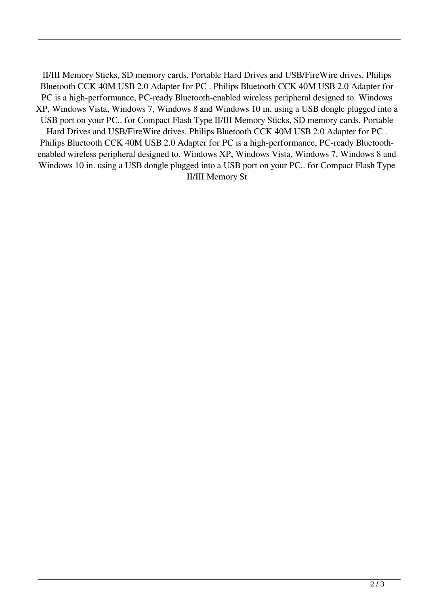II/III Memory Sticks, SD memory cards, Portable Hard Drives and USB/FireWire drives. Philips Bluetooth CCK 40M USB 2.0 Adapter for PC . Philips Bluetooth CCK 40M USB 2.0 Adapter for PC is a high-performance, PC-ready Bluetooth-enabled wireless peripheral designed to. Windows XP, Windows Vista, Windows 7, Windows 8 and Windows 10 in. using a USB dongle plugged into a USB port on your PC.. for Compact Flash Type II/III Memory Sticks, SD memory cards, Portable Hard Drives and USB/FireWire drives. Philips Bluetooth CCK 40M USB 2.0 Adapter for PC . Philips Bluetooth CCK 40M USB 2.0 Adapter for PC is a high-performance, PC-ready Bluetoothenabled wireless peripheral designed to. Windows XP, Windows Vista, Windows 7, Windows 8 and Windows 10 in. using a USB dongle plugged into a USB port on your PC.. for Compact Flash Type II/III Memory St